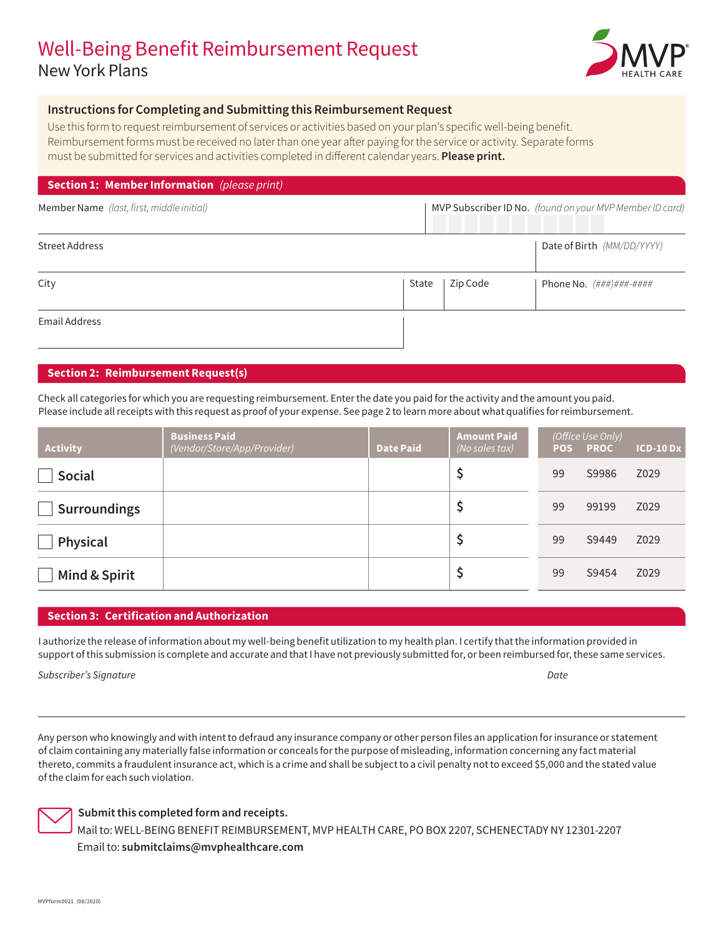# Well-Being Benefit Reimbursement Request New York Plans



### **Instructions for Completing and Submitting this Reimbursement Request**

Use this form to request reimbursement of services or activities based on your plan's specific well-being benefit. Reimbursement forms must be received no later than one year after paying for the service or activity. Separate forms must be submitted for services and activities completed in different calendar years. **Please print.**

#### **Section 1: Member Information** *(please print)*

| Member Name (last, first, middle initial) | MVP Subscriber ID No. (found on your MVP Member ID card) |  |
|-------------------------------------------|----------------------------------------------------------|--|
|                                           |                                                          |  |

| Street Address |       | Date of Birth (MM/DD/YYYY) |                                             |  |
|----------------|-------|----------------------------|---------------------------------------------|--|
|                |       |                            |                                             |  |
|                |       |                            |                                             |  |
| City           | State | Zip Code                   | Phone No. $(\# \# \#) \# \# \# \# \# \# \#$ |  |
|                |       |                            |                                             |  |
|                |       |                            |                                             |  |
| Email Address  |       |                            |                                             |  |
|                |       |                            |                                             |  |

### **Section 2: Reimbursement Request(s)**

Check all categories for which you are requesting reimbursement. Enter the date you paid for the activity and the amount you paid. Please include all receipts with this request as proof of your expense. See page 2 to learn more about what qualifies for reimbursement.

| <b>Activity</b>     | <b>Business Paid</b><br>(Vendor/Store/App/Provider) | <b>Date Paid</b> | <b>Amount Paid</b><br>(No sales tax) | <b>POS</b> | (Office Use Only)<br><b>PROC</b> | <b>ICD-10 Dx</b> |
|---------------------|-----------------------------------------------------|------------------|--------------------------------------|------------|----------------------------------|------------------|
| <b>Social</b>       |                                                     |                  |                                      | 99         | S9986                            | Z029             |
| <b>Surroundings</b> |                                                     |                  |                                      | 99         | 99199                            | Z029             |
| Physical            |                                                     |                  |                                      | 99         | S9449                            | Z029             |
| Mind & Spirit       |                                                     |                  |                                      | 99         | S9454                            | Z029             |

### **Section 3: Certification and Authorization**

I authorize the release of information about my well-being benefit utilization to my health plan. I certify that the information provided in support of this submission is complete and accurate and that I have not previously submitted for, or been reimbursed for, these same services.

*Subscriber's Signature Date*

Any person who knowingly and with intent to defraud any insurance company or other person files an application for insurance or statement of claim containing any materially false information or conceals for the purpose of misleading, information concerning any fact material thereto, commits a fraudulent insurance act, which is a crime and shall be subject to a civil penalty not to exceed \$5,000 and the stated value of the claim for each such violation.



### **Submit this completed form and receipts.**

Mail to: WELL-BEING BENEFIT REIMBURSEMENT, MVP HEALTH CARE, PO BOX 2207, SCHENECTADY NY 12301-2207 Email to: **[submitclaims@mvphealthcare.com](mailto:submitclaims%40mvphealthcare.com?subject=Well-Being%20Benefit%20Reimbursement%20Request)**